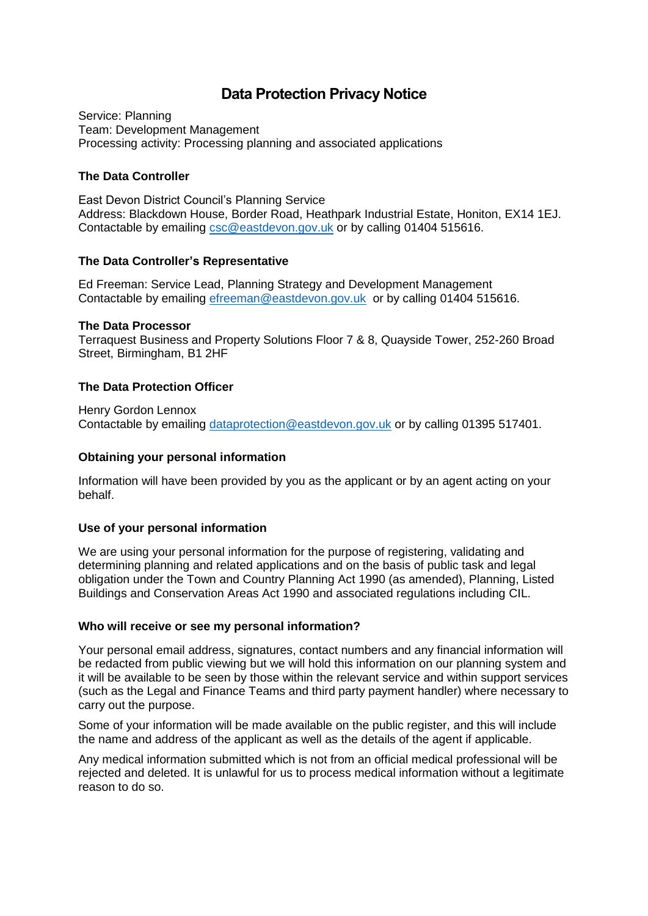# **Data Protection Privacy Notice**

Service: Planning Team: Development Management Processing activity: Processing planning and associated applications

# **The Data Controller**

East Devon District Council's Planning Service Address: Blackdown House, Border Road, Heathpark Industrial Estate, Honiton, EX14 1EJ. Contactable by emailing [csc@eastdevon.gov.uk](mailto:csc@eastdevon.gov.uk) or by calling 01404 515616.

### **The Data Controller's Representative**

Ed Freeman: Service Lead, Planning Strategy and Development Management Contactable by emailing [efreeman@eastdevon.gov.uk](mailto:efreeman@eastdevon.gov.uk) or by calling 01404 515616.

### **The Data Processor**

Terraquest Business and Property Solutions Floor 7 & 8, Quayside Tower, 252-260 Broad Street, Birmingham, B1 2HF

# **The Data Protection Officer**

Henry Gordon Lennox Contactable by emailing [dataprotection@eastdevon.gov.uk](mailto:dataprotection@eastdevon.gov.uk) or by calling 01395 517401.

### **Obtaining your personal information**

Information will have been provided by you as the applicant or by an agent acting on your behalf.

# **Use of your personal information**

We are using your personal information for the purpose of registering, validating and determining planning and related applications and on the basis of public task and legal obligation under the Town and Country Planning Act 1990 (as amended), Planning, Listed Buildings and Conservation Areas Act 1990 and associated regulations including CIL.

#### **Who will receive or see my personal information?**

Your personal email address, signatures, contact numbers and any financial information will be redacted from public viewing but we will hold this information on our planning system and it will be available to be seen by those within the relevant service and within support services (such as the Legal and Finance Teams and third party payment handler) where necessary to carry out the purpose.

Some of your information will be made available on the public register, and this will include the name and address of the applicant as well as the details of the agent if applicable.

Any medical information submitted which is not from an official medical professional will be rejected and deleted. It is unlawful for us to process medical information without a legitimate reason to do so.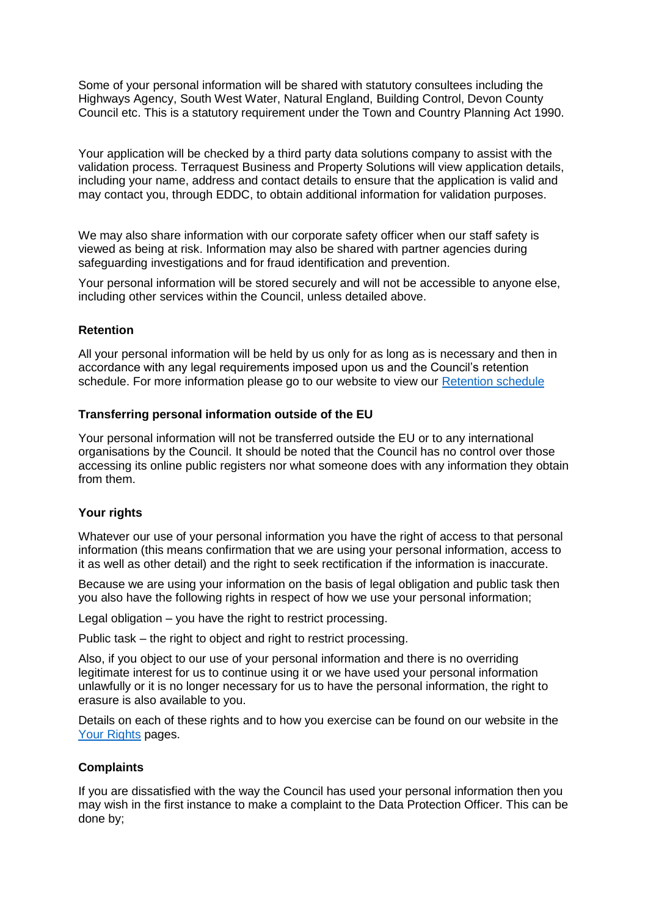Some of your personal information will be shared with statutory consultees including the Highways Agency, South West Water, Natural England, Building Control, Devon County Council etc. This is a statutory requirement under the Town and Country Planning Act 1990.

Your application will be checked by a third party data solutions company to assist with the validation process. Terraquest Business and Property Solutions will view application details, including your name, address and contact details to ensure that the application is valid and may contact you, through EDDC, to obtain additional information for validation purposes.

We may also share information with our corporate safety officer when our staff safety is viewed as being at risk. Information may also be shared with partner agencies during safeguarding investigations and for fraud identification and prevention.

Your personal information will be stored securely and will not be accessible to anyone else, including other services within the Council, unless detailed above.

### **Retention**

All your personal information will be held by us only for as long as is necessary and then in accordance with any legal requirements imposed upon us and the Council's retention schedule. For more information please go to our website to view our [Retention schedule](http://eastdevon.gov.uk/access-to-information/data-protection/document-retention-schedules/)

### **Transferring personal information outside of the EU**

Your personal information will not be transferred outside the EU or to any international organisations by the Council. It should be noted that the Council has no control over those accessing its online public registers nor what someone does with any information they obtain from them.

# **Your rights**

Whatever our use of your personal information you have the right of access to that personal information (this means confirmation that we are using your personal information, access to it as well as other detail) and the right to seek rectification if the information is inaccurate.

Because we are using your information on the basis of legal obligation and public task then you also have the following rights in respect of how we use your personal information;

Legal obligation – you have the right to restrict processing.

Public task – the right to object and right to restrict processing.

Also, if you object to our use of your personal information and there is no overriding legitimate interest for us to continue using it or we have used your personal information unlawfully or it is no longer necessary for us to have the personal information, the right to erasure is also available to you.

Details on each of these rights and to how you exercise can be found on our website in the [Your Rights](https://eastdevon.gov.uk/access-to-information/data-protection/data-protection-information/your-rights/) pages.

# **Complaints**

If you are dissatisfied with the way the Council has used your personal information then you may wish in the first instance to make a complaint to the Data Protection Officer. This can be done by;